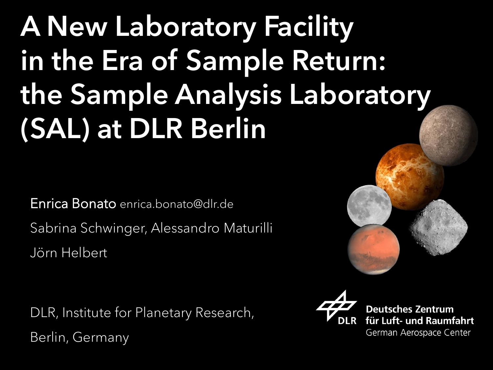# A New Laboratory Facility in the Era of Sample Return: the Sample Analysis Laboratory (SAL) at DLR Berlin

Enrica Bonato enrica.bonato@dlr.de Sabrina Schwinger, Alessandro Maturilli Jörn Helbert

DLR, Institute for Planetary Research, Berlin, Germany





**Deutsches Zentrum** für Luft- und Raumfahrt German Aerospace Center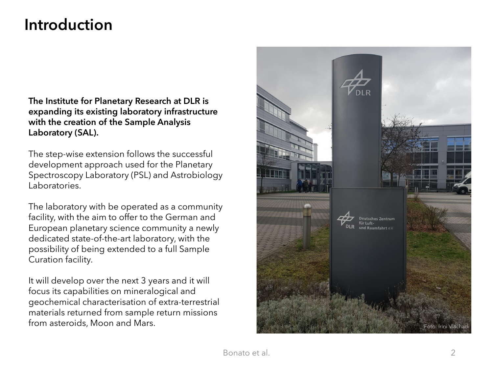### **Introduction**

**The Institute for Planetary Research at DLR is expanding its existing laboratory infrastructure with the creation of the Sample Analysis Laboratory (SAL).**

The step-wise extension follows the successful development approach used for the Planetary Spectroscopy Laboratory (PSL) and Astrobiology Laboratories.

The laboratory with be operated as a community facility, with the aim to offer to the German and European planetary science community a newly dedicated state-of-the-art laboratory, with the possibility of being extended to a full Sample Curation facility.

It will develop over the next 3 years and it will focus its capabilities on mineralogical and geochemical characterisation of extra-terrestrial materials returned from sample return missions from asteroids, Moon and Mars.

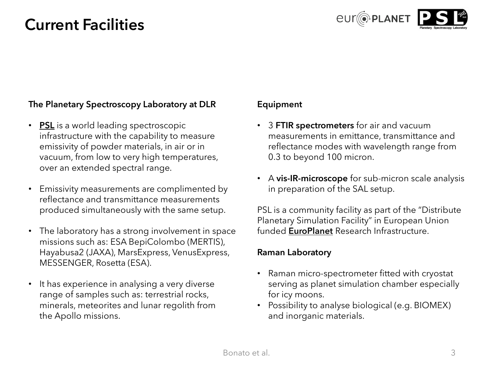### **Current Facilities**



#### **The Planetary Spectroscopy Laboratory at DLR**

- **[PSL](https://youtu.be/14-Ch81buwA)** is a world leading spectroscopic infrastructure with the capability to measure emissivity of powder materials, in air or in vacuum, from low to very high temperatures, over an extended spectral range.
- Emissivity measurements are complimented by reflectance and transmittance measurements produced simultaneously with the same setup.
- The laboratory has a strong involvement in space missions such as: ESA BepiColombo (MERTIS), Hayabusa2 (JAXA), MarsExpress, VenusExpress, MESSENGER, Rosetta (ESA).
- It has experience in analysing a very diverse range of samples such as: terrestrial rocks, minerals, meteorites and lunar regolith from the Apollo missions.

#### **Equipment**

- 3 **FTIR spectrometers** for air and vacuum measurements in emittance, transmittance and reflectance modes with wavelength range from 0.3 to beyond 100 micron.
- A **vis-IR-microscope** for sub-micron scale analysis in preparation of the SAL setup.

PSL is a community facility as part of the "Distribute Planetary Simulation Facility" in European Union funded **[EuroPlanet](https://www.europlanet-society.org/europlanet-2024-ri/ta2-dplf/)** Research Infrastructure.

#### **Raman Laboratory**

- Raman micro-spectrometer fitted with cryostat serving as planet simulation chamber especially for icy moons.
- Possibility to analyse biological (e.g. BIOMEX) and inorganic materials.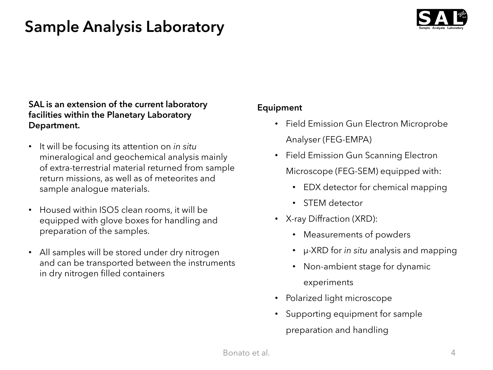## **Sample Analysis Laboratory**



#### **SAL is an extension of the current laboratory facilities within the Planetary Laboratory Department.**

- It will be focusing its attention on *in situ*  mineralogical and geochemical analysis mainly of extra-terrestrial material returned from sample return missions, as well as of meteorites and sample analogue materials.
- Housed within ISO5 clean rooms, it will be equipped with glove boxes for handling and preparation of the samples.
- All samples will be stored under dry nitrogen and can be transported between the instruments in dry nitrogen filled containers

#### **Equipment**

- Field Emission Gun Electron Microprobe Analyser (FEG-EMPA)
- Field Emission Gun Scanning Electron Microscope (FEG-SEM) equipped with:
	- EDX detector for chemical mapping
	- STEM detector
- X-ray Diffraction (XRD):
	- Measurements of powders
	- μ-XRD for *in situ* analysis and mapping
	- Non-ambient stage for dynamic experiments
- Polarized light microscope
- Supporting equipment for sample preparation and handling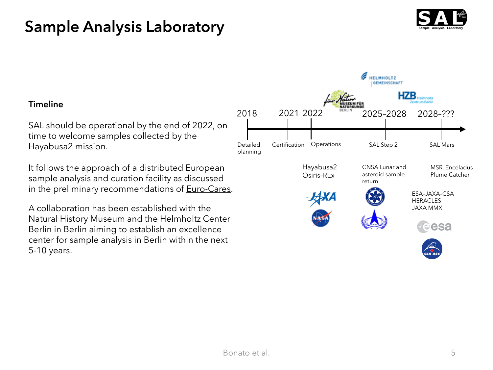### **Sample Analysis Laboratory**



#### **Timeline**

SAL should be operational by the end of 2022, on time to welcome samples collected by the Hayabusa2 mission.

It follows the approach of a distributed European sample analysis and curation facility as discussed in the preliminary recommendations of **Euro-Cares**.

A collaboration has been established with the Natural History Museum and the Helmholtz Center Berlin in Berlin aiming to establish an excellence center for sample analysis in Berlin within the next 5-10 years.